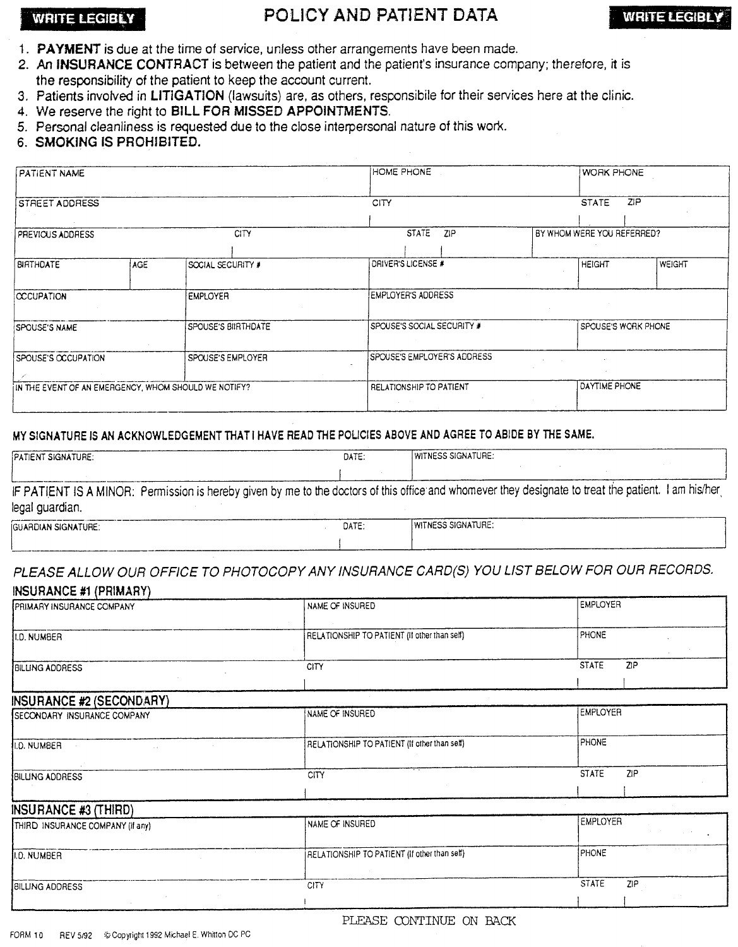# WRITE LEGIBLY **AND PATIENT DATA** WRITE LEGIBLY

- 1. PAYMENT is due at the time of service, unless other arrangements have been made.
- 2. An INSURANCE CONTRACT is between the patient and the patient's insurance company; therefore, it is the responsibility of the patient to keep the account current.
- 3. Patients involved in LITIGATION (lawsuits) are, as others, responsibile for their services here at the clinic.
- 4. We reserve the right to BILL FOR MISSED APPOINTMENTS.
- 5. Personal cleanliness is requested due to the close interpersonal nature of this work.
- 6. SMOKING IS PROHIBITED.

| PATIENT NAME<br><b>STREET ADDRESS</b>                |     | HOME PHONE          | <b>WORK PHONE</b>           |                            |
|------------------------------------------------------|-----|---------------------|-----------------------------|----------------------------|
|                                                      |     | CITY                | ZIP<br><b>STATE</b>         |                            |
| PREVIOUS ADDRESS                                     |     | <b>CITY</b>         | <b>STATE</b><br>ZIP         | BY WHOM WERE YOU REFERRED? |
| <b>BIRTHDATE</b>                                     | AGE | SOCIAL SECURITY #   | DRIVER'S LICENSE #          | <b>HEIGHT</b><br>WEIGHT    |
| <b>CCCUPATION</b>                                    |     | <b>EMPLOYER</b>     | EMPLOYER'S ADDRESS          |                            |
| <b>SPOUSE'S NAME</b>                                 |     | SPOUSE'S BIIRTHDATE | SPOUSE'S SOCIAL SECURITY #  | SPOUSE'S WORK PHONE        |
| SPOUSE'S OCCUPATION                                  |     | SPOUSE'S EMPLOYER   | SPOUSE'S EMPLOYER'S ADDRESS |                            |
| IN THE EVENT OF AN EMERGENCY, WHOM SHOULD WE NOTIFY? |     |                     | RELATIONSHIP TO PATIENT     | DAYTIME PHONE              |

### MY SIGNATURE IS AN ACKNOWLEDGEMENT THAT I HAVE READ THE POLICIES ABOVE AND AGREE TO ABIDE BY THE SAME.

| PATIENT SIGNATURE:                                                                                                                                                      | DATE: | <b>WITNESS SIGNATURE:</b> |  |
|-------------------------------------------------------------------------------------------------------------------------------------------------------------------------|-------|---------------------------|--|
|                                                                                                                                                                         |       |                           |  |
| IF PATIENT IS A MINOR: Permission is hereby given by me to the doctors of this office and whomever they designate to treat the patient. I am his/her<br>legal guardian. |       |                           |  |
| <b>IGUARDIAN SIGNATURE:</b>                                                                                                                                             | DATE: | WITNESS SIGNATURE:        |  |

## PLEASE ALLOW OUR OFFICE TO PHOTOCOPY ANY INSURANCE CARD(S) YOU LIST BELOW FOR OUR RECORDS. INSURANCE #1 (PRIMARY)

| PRIMARY INSURANCE COMPANY          | NAME OF INSURED                              | <b>EMPLOYER</b>     |
|------------------------------------|----------------------------------------------|---------------------|
| II.D. NUMBER                       | RELATIONSHIP TO PATIENT (If other than self) | PHONE               |
| <b>BILLING ADDRESS</b>             | CITY                                         | <b>STATE</b><br>ZIP |
| INSURANCE #2 (SECONDARY)           |                                              |                     |
| <b>SECONDARY INSURANCE COMPANY</b> | NAME OF INSURED                              | <b>EMPLOYER</b>     |
| I.D. NUMBER<br>$\mathbf{r}$        | RELATIONSHIP TO PATIENT (If other than self) | PHONE               |
| <b>BILLING ADDRESS</b>             | <b>CITY</b>                                  | <b>STATE</b><br>ZIP |
| <b>INSURANCE #3 (THIRD)</b>        |                                              |                     |
| THIRD INSURANCE COMPANY (If any)   | NAME OF INSURED                              | <b>EMPLOYER</b>     |
| <b>J.D. NUMBER</b>                 | RELATIONSHIP TO PATIENT (If other than self) | PHONE               |
| <b>BILLING ADDRESS</b>             | <b>CITY</b>                                  | <b>STATE</b><br>ZIP |